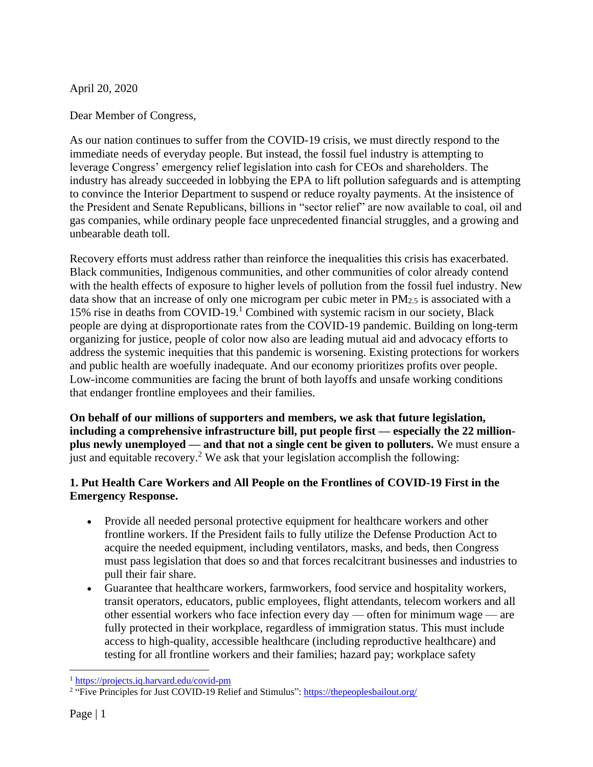April 20, 2020

Dear Member of Congress,

As our nation continues to suffer from the COVID-19 crisis, we must directly respond to the immediate needs of everyday people. But instead, the fossil fuel industry is attempting to leverage Congress' emergency relief legislation into cash for CEOs and shareholders. The industry has already succeeded in lobbying the EPA to lift pollution safeguards and is attempting to convince the Interior Department to suspend or reduce royalty payments. At the insistence of the President and Senate Republicans, billions in "sector relief" are now available to coal, oil and gas companies, while ordinary people face unprecedented financial struggles, and a growing and unbearable death toll.

Recovery efforts must address rather than reinforce the inequalities this crisis has exacerbated. Black communities, Indigenous communities, and other communities of color already contend with the health effects of exposure to higher levels of pollution from the fossil fuel industry. New data show that an increase of only one microgram per cubic meter in PM2.5 is associated with a 15% rise in deaths from COVID-19. <sup>1</sup> Combined with systemic racism in our society, Black people are dying at disproportionate rates from the COVID-19 pandemic. Building on long-term organizing for justice, people of color now also are leading mutual aid and advocacy efforts to address the systemic inequities that this pandemic is worsening. Existing protections for workers and public health are woefully inadequate. And our economy prioritizes profits over people. Low-income communities are facing the brunt of both layoffs and unsafe working conditions that endanger frontline employees and their families.

**On behalf of our millions of supporters and members, we ask that future legislation, including a comprehensive infrastructure bill, put people first — especially the 22 millionplus newly unemployed — and that not a single cent be given to polluters.** We must ensure a just and equitable recovery.<sup>2</sup> We ask that your legislation accomplish the following:

## **1. Put Health Care Workers and All People on the Frontlines of COVID-19 First in the Emergency Response.**

- Provide all needed personal protective equipment for healthcare workers and other frontline workers. If the President fails to fully utilize the Defense Production Act to acquire the needed equipment, including ventilators, masks, and beds, then Congress must pass legislation that does so and that forces recalcitrant businesses and industries to pull their fair share.
- Guarantee that healthcare workers, farmworkers, food service and hospitality workers, transit operators, educators, public employees, flight attendants, telecom workers and all other essential workers who face infection every day — often for minimum wage — are fully protected in their workplace, regardless of immigration status. This must include access to high-quality, accessible healthcare (including reproductive healthcare) and testing for all frontline workers and their families; hazard pay; workplace safety

<sup>&</sup>lt;sup>1</sup> <https://projects.iq.harvard.edu/covid-pm>

<sup>&</sup>lt;sup>2</sup> "Five Principles for Just COVID-19 Relief and Stimulus": <https://thepeoplesbailout.org/>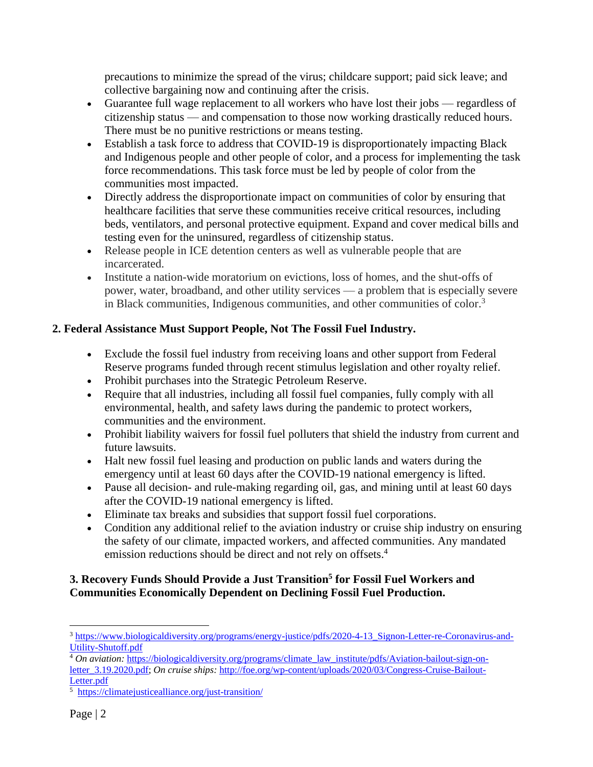precautions to minimize the spread of the virus; childcare support; paid sick leave; and collective bargaining now and continuing after the crisis.

- Guarantee full wage replacement to all workers who have lost their jobs regardless of citizenship status — and compensation to those now working drastically reduced hours. There must be no punitive restrictions or means testing.
- Establish a task force to address that COVID-19 is disproportionately impacting Black and Indigenous people and other people of color, and a process for implementing the task force recommendations. This task force must be led by people of color from the communities most impacted.
- Directly address the disproportionate impact on communities of color by ensuring that healthcare facilities that serve these communities receive critical resources, including beds, ventilators, and personal protective equipment. Expand and cover medical bills and testing even for the uninsured, regardless of citizenship status.
- Release people in ICE detention centers as well as vulnerable people that are incarcerated.
- Institute a nation-wide moratorium on evictions, loss of homes, and the shut-offs of power, water, broadband, and other utility services — a problem that is especially severe in Black communities, Indigenous communities, and other communities of color. 3

## **2. Federal Assistance Must Support People, Not The Fossil Fuel Industry.**

- Exclude the fossil fuel industry from receiving loans and other support from Federal Reserve programs funded through recent stimulus legislation and other royalty relief.
- Prohibit purchases into the Strategic Petroleum Reserve.
- Require that all industries, including all fossil fuel companies, fully comply with all environmental, health, and safety laws during the pandemic to protect workers, communities and the environment.
- Prohibit liability waivers for fossil fuel polluters that shield the industry from current and future lawsuits.
- Halt new fossil fuel leasing and production on public lands and waters during the emergency until at least 60 days after the COVID-19 national emergency is lifted.
- Pause all decision- and rule-making regarding oil, gas, and mining until at least 60 days after the COVID-19 national emergency is lifted.
- Eliminate tax breaks and subsidies that support fossil fuel corporations.
- Condition any additional relief to the aviation industry or cruise ship industry on ensuring the safety of our climate, impacted workers, and affected communities. Any mandated emission reductions should be direct and not rely on offsets.<sup>4</sup>

## **3. Recovery Funds Should Provide a Just Transition 5 for Fossil Fuel Workers and Communities Economically Dependent on Declining Fossil Fuel Production.**

<sup>4</sup> *On aviation:* [https://biologicaldiversity.org/programs/climate\\_law\\_institute/pdfs/Aviation-bailout-sign-on](https://biologicaldiversity.org/programs/climate_law_institute/pdfs/Aviation-bailout-sign-on-letter_3.19.2020.pdf)[letter\\_3.19.2020.pdf;](https://biologicaldiversity.org/programs/climate_law_institute/pdfs/Aviation-bailout-sign-on-letter_3.19.2020.pdf) *On cruise ships:* [http://foe.org/wp-content/uploads/2020/03/Congress-Cruise-Bailout-](http://foe.org/wp-content/uploads/2020/03/Congress-Cruise-Bailout-Letter.pdf)[Letter.pdf](http://foe.org/wp-content/uploads/2020/03/Congress-Cruise-Bailout-Letter.pdf)

<sup>3</sup> [https://www.biologicaldiversity.org/programs/energy-justice/pdfs/2020-4-13\\_Signon-Letter-re-Coronavirus-and-](https://www.biologicaldiversity.org/programs/energy-justice/pdfs/2020-4-13_Signon-Letter-re-Coronavirus-and-Utility-Shutoff.pdf)[Utility-Shutoff.pdf](https://www.biologicaldiversity.org/programs/energy-justice/pdfs/2020-4-13_Signon-Letter-re-Coronavirus-and-Utility-Shutoff.pdf)

<sup>5</sup> <https://climatejusticealliance.org/just-transition/>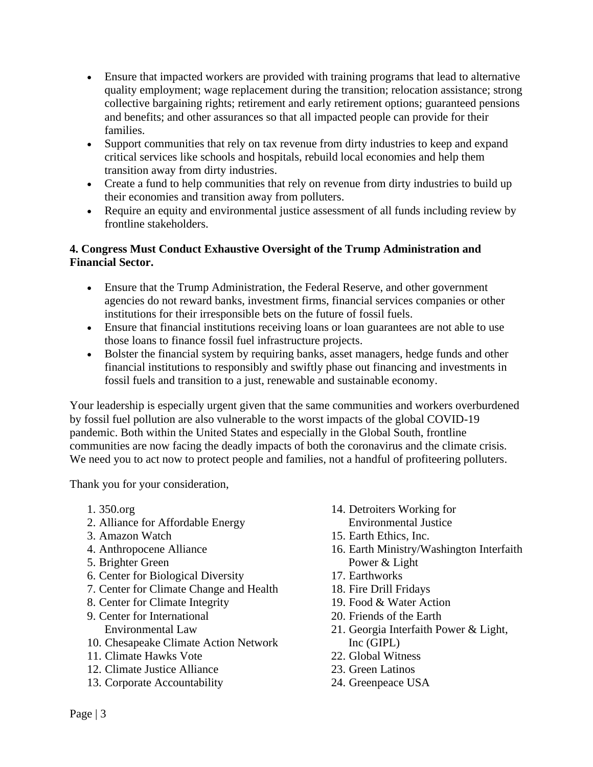- Ensure that impacted workers are provided with training programs that lead to alternative quality employment; wage replacement during the transition; relocation assistance; strong collective bargaining rights; retirement and early retirement options; guaranteed pensions and benefits; and other assurances so that all impacted people can provide for their families.
- Support communities that rely on tax revenue from dirty industries to keep and expand critical services like schools and hospitals, rebuild local economies and help them transition away from dirty industries.
- Create a fund to help communities that rely on revenue from dirty industries to build up their economies and transition away from polluters.
- Require an equity and environmental justice assessment of all funds including review by frontline stakeholders.

## **4. Congress Must Conduct Exhaustive Oversight of the Trump Administration and Financial Sector.**

- Ensure that the Trump Administration, the Federal Reserve, and other government agencies do not reward banks, investment firms, financial services companies or other institutions for their irresponsible bets on the future of fossil fuels.
- Ensure that financial institutions receiving loans or loan guarantees are not able to use those loans to finance fossil fuel infrastructure projects.
- Bolster the financial system by requiring banks, asset managers, hedge funds and other financial institutions to responsibly and swiftly phase out financing and investments in fossil fuels and transition to a just, renewable and sustainable economy.

Your leadership is especially urgent given that the same communities and workers overburdened by fossil fuel pollution are also vulnerable to the worst impacts of the global COVID-19 pandemic. Both within the United States and especially in the Global South, frontline communities are now facing the deadly impacts of both the coronavirus and the climate crisis. We need you to act now to protect people and families, not a handful of profiteering polluters.

Thank you for your consideration,

- 1. 350.org
- 2. Alliance for Affordable Energy
- 3. Amazon Watch
- 4. Anthropocene Alliance
- 5. Brighter Green
- 6. Center for Biological Diversity
- 7. Center for Climate Change and Health
- 8. Center for Climate Integrity
- 9. Center for International Environmental Law
- 10. Chesapeake Climate Action Network
- 11. Climate Hawks Vote
- 12. Climate Justice Alliance
- 13. Corporate Accountability
- 14. Detroiters Working for Environmental Justice
- 15. Earth Ethics, Inc.
- 16. Earth Ministry/Washington Interfaith Power & Light
- 17. Earthworks
- 18. Fire Drill Fridays
- 19. Food & Water Action
- 20. Friends of the Earth
- 21. Georgia Interfaith Power & Light, Inc (GIPL)
- 22. Global Witness
- 23. Green Latinos
- 24. Greenpeace USA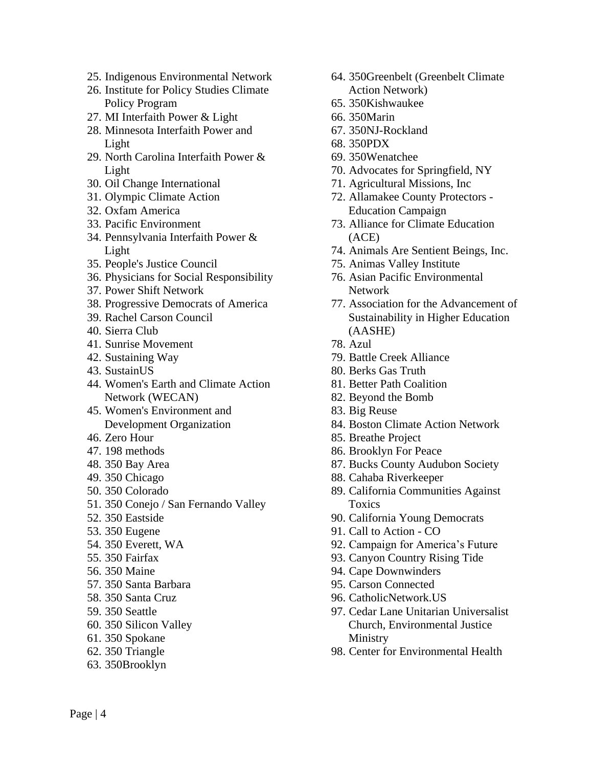- 25. Indigenous Environmental Network
- 26. Institute for Policy Studies Climate Policy Program
- 27. MI Interfaith Power & Light
- 28. Minnesota Interfaith Power and Light
- 29. North Carolina Interfaith Power & Light
- 30. Oil Change International
- 31. Olympic Climate Action
- 32. Oxfam America
- 33. Pacific Environment
- 34. Pennsylvania Interfaith Power & Light
- 35. People's Justice Council
- 36. Physicians for Social Responsibility
- 37. Power Shift Network
- 38. Progressive Democrats of America
- 39. Rachel Carson Council
- 40. Sierra Club
- 41. Sunrise Movement
- 42. Sustaining Way
- 43. SustainUS
- 44. Women's Earth and Climate Action Network (WECAN)
- 45. Women's Environment and Development Organization
- 46. Zero Hour
- 47. 198 methods
- 48. 350 Bay Area
- 49. 350 Chicago
- 50. 350 Colorado
- 51. 350 Conejo / San Fernando Valley
- 52. 350 Eastside
- 53. 350 Eugene
- 54. 350 Everett, WA
- 55. 350 Fairfax
- 56. 350 Maine
- 57. 350 Santa Barbara
- 58. 350 Santa Cruz
- 59. 350 Seattle
- 60. 350 Silicon Valley
- 61. 350 Spokane
- 62. 350 Triangle
- 63. 350Brooklyn
- 64. 350Greenbelt (Greenbelt Climate Action Network)
- 65. 350Kishwaukee
- 66. 350Marin
- 67. 350NJ-Rockland
- 68. 350PDX
- 69. 350Wenatchee
- 70. Advocates for Springfield, NY
- 71. Agricultural Missions, Inc
- 72. Allamakee County Protectors Education Campaign
- 73. Alliance for Climate Education (ACE)
- 74. Animals Are Sentient Beings, Inc.
- 75. Animas Valley Institute
- 76. Asian Pacific Environmental Network
- 77. Association for the Advancement of Sustainability in Higher Education (AASHE)
- 78. Azul
- 79. Battle Creek Alliance
- 80. Berks Gas Truth
- 81. Better Path Coalition
- 82. Beyond the Bomb
- 83. Big Reuse
- 84. Boston Climate Action Network
- 85. Breathe Project
- 86. Brooklyn For Peace
- 87. Bucks County Audubon Society
- 88. Cahaba Riverkeeper
- 89. California Communities Against Toxics
- 90. California Young Democrats
- 91. Call to Action CO
- 92. Campaign for America's Future
- 93. Canyon Country Rising Tide
- 94. Cape Downwinders
- 95. Carson Connected
- 96. CatholicNetwork.US
- 97. Cedar Lane Unitarian Universalist Church, Environmental Justice Ministry
- 98. Center for Environmental Health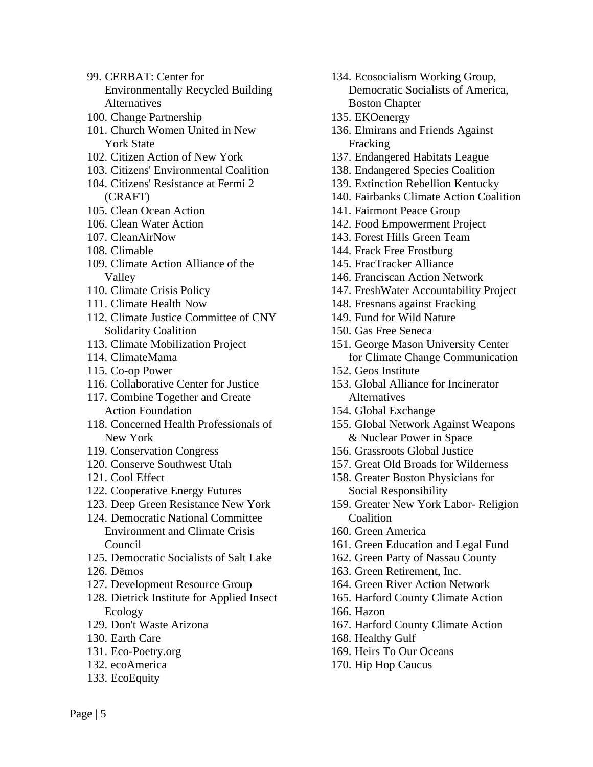- 99. CERBAT: Center for Environmentally Recycled Building Alternatives
- 100. Change Partnership
- 101. Church Women United in New York State
- 102. Citizen Action of New York
- 103. Citizens' Environmental Coalition
- 104. Citizens' Resistance at Fermi 2 (CRAFT)
- 105. Clean Ocean Action
- 106. Clean Water Action
- 107. CleanAirNow
- 108. Climable
- 109. Climate Action Alliance of the Valley
- 110. Climate Crisis Policy
- 111. Climate Health Now
- 112. Climate Justice Committee of CNY Solidarity Coalition
- 113. Climate Mobilization Project
- 114. ClimateMama
- 115. Co-op Power
- 116. Collaborative Center for Justice
- 117. Combine Together and Create Action Foundation
- 118. Concerned Health Professionals of New York
- 119. Conservation Congress
- 120. Conserve Southwest Utah
- 121. Cool Effect
- 122. Cooperative Energy Futures
- 123. Deep Green Resistance New York
- 124. Democratic National Committee Environment and Climate Crisis Council
- 125. Democratic Socialists of Salt Lake
- 126. Dēmos
- 127. Development Resource Group
- 128. Dietrick Institute for Applied Insect Ecology
- 129. Don't Waste Arizona
- 130. Earth Care
- 131. Eco-Poetry.org
- 132. ecoAmerica
- 133. EcoEquity
- 134. Ecosocialism Working Group, Democratic Socialists of America, Boston Chapter
- 135. EKOenergy
- 136. Elmirans and Friends Against Fracking
- 137. Endangered Habitats League
- 138. Endangered Species Coalition
- 139. Extinction Rebellion Kentucky
- 140. Fairbanks Climate Action Coalition
- 141. Fairmont Peace Group
- 142. Food Empowerment Project
- 143. Forest Hills Green Team
- 144. Frack Free Frostburg
- 145. FracTracker Alliance
- 146. Franciscan Action Network
- 147. FreshWater Accountability Project
- 148. Fresnans against Fracking
- 149. Fund for Wild Nature
- 150. Gas Free Seneca
- 151. George Mason University Center for Climate Change Communication
- 152. Geos Institute
- 153. Global Alliance for Incinerator Alternatives
- 154. Global Exchange
- 155. Global Network Against Weapons & Nuclear Power in Space
- 156. Grassroots Global Justice
- 157. Great Old Broads for Wilderness
- 158. Greater Boston Physicians for Social Responsibility
- 159. Greater New York Labor- Religion **Coalition**
- 160. Green America
- 161. Green Education and Legal Fund
- 162. Green Party of Nassau County
- 163. Green Retirement, Inc.
- 164. Green River Action Network
- 165. Harford County Climate Action
- 166. Hazon
- 167. Harford County Climate Action
- 168. Healthy Gulf
- 169. Heirs To Our Oceans
- 170. Hip Hop Caucus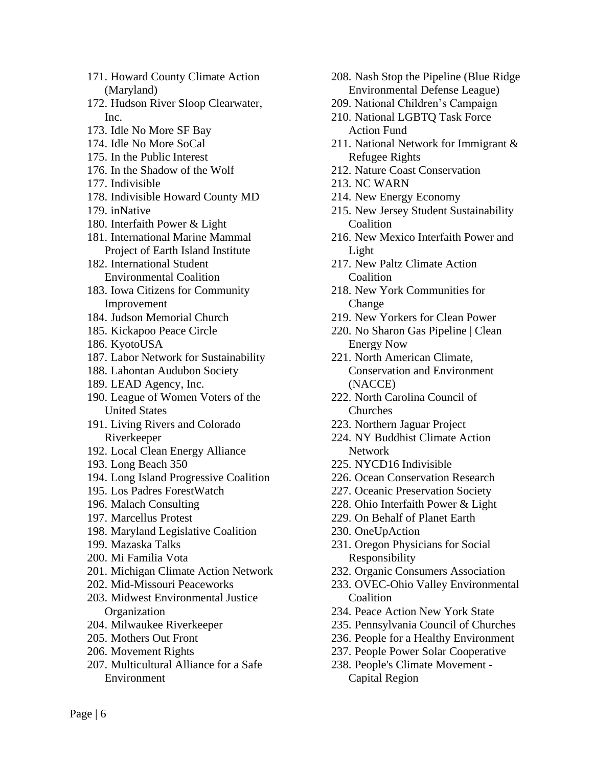- 171. Howard County Climate Action (Maryland)
- 172. Hudson River Sloop Clearwater, Inc.
- 173. Idle No More SF Bay
- 174. Idle No More SoCal
- 175. In the Public Interest
- 176. In the Shadow of the Wolf
- 177. Indivisible
- 178. Indivisible Howard County MD
- 179. inNative
- 180. Interfaith Power & Light
- 181. International Marine Mammal Project of Earth Island Institute
- 182. International Student Environmental Coalition
- 183. Iowa Citizens for Community Improvement
- 184. Judson Memorial Church
- 185. Kickapoo Peace Circle
- 186. KyotoUSA
- 187. Labor Network for Sustainability
- 188. Lahontan Audubon Society
- 189. LEAD Agency, Inc.
- 190. League of Women Voters of the United States
- 191. Living Rivers and Colorado Riverkeeper
- 192. Local Clean Energy Alliance
- 193. Long Beach 350
- 194. Long Island Progressive Coalition
- 195. Los Padres ForestWatch
- 196. Malach Consulting
- 197. Marcellus Protest
- 198. Maryland Legislative Coalition
- 199. Mazaska Talks
- 200. Mi Familia Vota
- 201. Michigan Climate Action Network
- 202. Mid-Missouri Peaceworks
- 203. Midwest Environmental Justice **Organization**
- 204. Milwaukee Riverkeeper
- 205. Mothers Out Front
- 206. Movement Rights
- 207. Multicultural Alliance for a Safe Environment
- 208. Nash Stop the Pipeline (Blue Ridge Environmental Defense League)
- 209. National Children's Campaign
- 210. National LGBTQ Task Force Action Fund
- 211. National Network for Immigrant & Refugee Rights
- 212. Nature Coast Conservation
- 213. NC WARN
- 214. New Energy Economy
- 215. New Jersey Student Sustainability **Coalition**
- 216. New Mexico Interfaith Power and Light
- 217. New Paltz Climate Action **Coalition**
- 218. New York Communities for Change
- 219. New Yorkers for Clean Power
- 220. No Sharon Gas Pipeline | Clean Energy Now
- 221. North American Climate, Conservation and Environment (NACCE)
- 222. North Carolina Council of Churches
- 223. Northern Jaguar Project
- 224. NY Buddhist Climate Action Network
- 225. NYCD16 Indivisible
- 226. Ocean Conservation Research
- 227. Oceanic Preservation Society
- 228. Ohio Interfaith Power & Light
- 229. On Behalf of Planet Earth
- 230. OneUpAction
- 231. Oregon Physicians for Social Responsibility
- 232. Organic Consumers Association
- 233. OVEC-Ohio Valley Environmental Coalition
- 234. Peace Action New York State
- 235. Pennsylvania Council of Churches
- 236. People for a Healthy Environment
- 237. People Power Solar Cooperative
- 238. People's Climate Movement Capital Region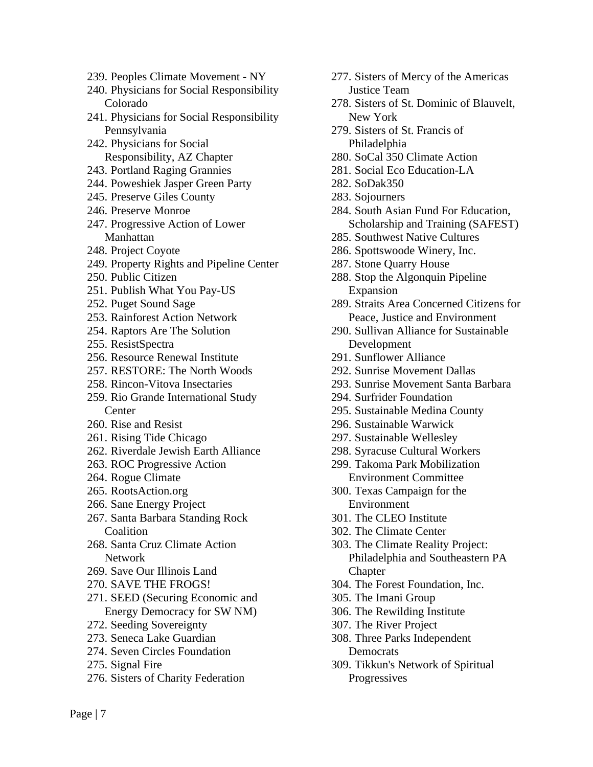- 239. Peoples Climate Movement NY
- 240. Physicians for Social Responsibility Colorado
- 241. Physicians for Social Responsibility Pennsylvania
- 242. Physicians for Social Responsibility, AZ Chapter
- 243. Portland Raging Grannies
- 244. Poweshiek Jasper Green Party
- 245. Preserve Giles County
- 246. Preserve Monroe
- 247. Progressive Action of Lower Manhattan
- 248. Project Coyote
- 249. Property Rights and Pipeline Center
- 250. Public Citizen
- 251. Publish What You Pay-US
- 252. Puget Sound Sage
- 253. Rainforest Action Network
- 254. Raptors Are The Solution
- 255. ResistSpectra
- 256. Resource Renewal Institute
- 257. RESTORE: The North Woods
- 258. Rincon-Vitova Insectaries
- 259. Rio Grande International Study Center
- 260. Rise and Resist
- 261. Rising Tide Chicago
- 262. Riverdale Jewish Earth Alliance
- 263. ROC Progressive Action
- 264. Rogue Climate
- 265. RootsAction.org
- 266. Sane Energy Project
- 267. Santa Barbara Standing Rock Coalition
- 268. Santa Cruz Climate Action Network
- 269. Save Our Illinois Land
- 270. SAVE THE FROGS!
- 271. SEED (Securing Economic and Energy Democracy for SW NM)
- 272. Seeding Sovereignty
- 273. Seneca Lake Guardian
- 274. Seven Circles Foundation
- 275. Signal Fire
- 276. Sisters of Charity Federation
- 277. Sisters of Mercy of the Americas Justice Team
- 278. Sisters of St. Dominic of Blauvelt, New York
- 279. Sisters of St. Francis of Philadelphia
- 280. SoCal 350 Climate Action
- 281. Social Eco Education-LA
- 282. SoDak350
- 283. Sojourners
- 284. South Asian Fund For Education, Scholarship and Training (SAFEST)
- 285. Southwest Native Cultures
- 286. Spottswoode Winery, Inc.
- 287. Stone Quarry House
- 288. Stop the Algonquin Pipeline Expansion
- 289. Straits Area Concerned Citizens for Peace, Justice and Environment
- 290. Sullivan Alliance for Sustainable Development
- 291. Sunflower Alliance
- 292. Sunrise Movement Dallas
- 293. Sunrise Movement Santa Barbara
- 294. Surfrider Foundation
- 295. Sustainable Medina County
- 296. Sustainable Warwick
- 297. Sustainable Wellesley
- 298. Syracuse Cultural Workers
- 299. Takoma Park Mobilization Environment Committee
- 300. Texas Campaign for the Environment
- 301. The CLEO Institute
- 302. The Climate Center
- 303. The Climate Reality Project: Philadelphia and Southeastern PA **Chapter**
- 304. The Forest Foundation, Inc.
- 305. The Imani Group
- 306. The Rewilding Institute
- 307. The River Project
- 308. Three Parks Independent **Democrats**
- 309. Tikkun's Network of Spiritual Progressives